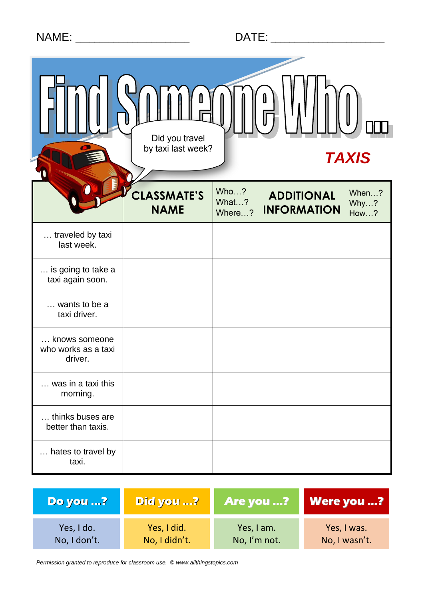|  | <b>NAME</b> |  |
|--|-------------|--|
|  |             |  |

|                                                 | Ů<br>Did you travel<br>by taxi last week? |                         | <b>TAXIS</b>                            |                              |
|-------------------------------------------------|-------------------------------------------|-------------------------|-----------------------------------------|------------------------------|
|                                                 | CLASSMATE'S<br><b>NAME</b>                | Who?<br>What?<br>Where? | <b>ADDITIONAL</b><br><b>INFORMATION</b> | When?<br>Why?<br><b>How?</b> |
| traveled by taxi<br>last week.                  |                                           |                         |                                         |                              |
| is going to take a<br>taxi again soon.          |                                           |                         |                                         |                              |
| wants to be a<br>taxi driver.                   |                                           |                         |                                         |                              |
| knows someone<br>who works as a taxi<br>driver. |                                           |                         |                                         |                              |
| was in a taxi this<br>morning.                  |                                           |                         |                                         |                              |
| thinks buses are<br>better than taxis.          |                                           |                         |                                         |                              |
| hates to travel by<br>taxi.                     |                                           |                         |                                         |                              |

| <b>Do you ?</b> | Did you ?     | Are you ?    | <b>Were you ?</b> |
|-----------------|---------------|--------------|-------------------|
| Yes, I do.      | Yes, I did.   | Yes, I am.   | Yes, I was.       |
| No, I don't.    | No, I didn't. | No, I'm not. | No, I wasn't.     |

*Permission granted to reproduce for classroom use. © www.allthingstopics.com*